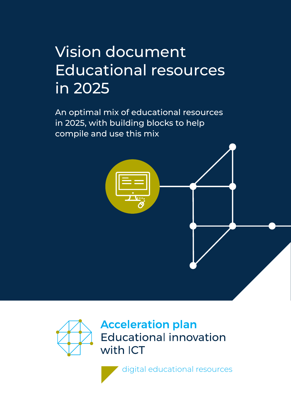# Vision document Educational resources in 2025

An optimal mix of educational resources in 2025, with building blocks to help compile and use this mix



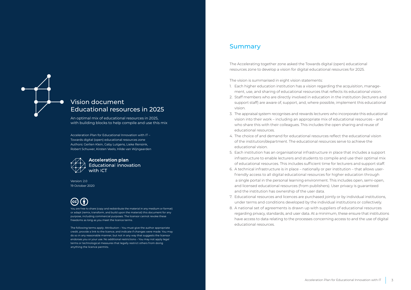

### Vision document Educational resources in 2025

An optimal mix of educational resources in 2025, with building blocks to help compile and use this mix

Acceleration Plan for Educational Innovation with IT – Towards digital (open) educational resources zone Authors: Gerlien Klein, Gaby Lutgens, Lieke Rensink, Robert Schuwer, Kirsten Veelo, Hilde van Wijngaarden



### **Acceleration plan Educational innovation**

Version: 2.0 19 October 2020

You are free to share (copy and redistribute the material in any medium or format) or adapt (remix, transform, and build upon the material) this document for any purpose, including commercial purposes. The licensor cannot revoke these freedoms as long as you meet the licence terms.

The following terms apply: Attribution – You must give the author appropriate credit, provide a link to the licence, and indicate if changes were made. You may do so in any reasonable manner, but not in any way that suggests the licensor endorses you or your use. No additional restrictions – You may not apply legal terms or technological measures that legally restrict others from doing anything the licence permits.

### Summary

The Accelerating together zone asked the Towards digital (open) educational resources zone to develop a vision for digital educational resources for 2025.

The vision is summarised in eight vision statements:

- 1. Each higher education institution has a vision regarding the acquisition, management, use, and sharing of educational resources that reflects its educational vision.
- 2. Staff members who are directly involved in education in the institution (lecturers and support staff) are aware of, support, and, where possible, implement this educational vision.
- 3. The appraisal system recognises and rewards lecturers who incorporate this educational vision into their work – including an appropriate mix of educational resources – and who share this with their colleagues. This includes the open sharing and reuse of educational resources.
- 4. The choice of and demand for educational resources reflect the educational vision of the institution/department. The educational resources serve to achieve the educational vision.
- 5. Each institution has an organisational infrastructure in place that includes a support infrastructure to enable lecturers and students to compile and use their optimal mix of educational resources. This includes sufficient time for lecturers and support staff.
- 6. A technical infrastructure is in place nationally or per institution that allows userfriendly access to all digital educational resources for higher education through a single portal in the personal learning environment. This includes open, semi-open, and licensed educational resources (from publishers). User privacy is guaranteed and the institution has ownership of the user data.
- 7. Educational resources and licences are purchased jointly or by individual institutions, under terms and conditions developed by the individual institutions or collectively.
- 8. A national set of agreements is drawn up with suppliers of educational resources regarding privacy, standards, and user data. At a minimum, these ensure that institutions have access to data relating to the processes concerning access to and the use of digital educational resources.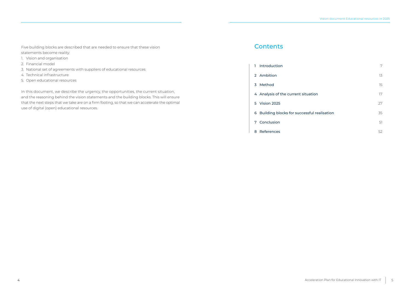Five building blocks are described that are needed to ensure that these vision statements become reality:

- 1. Vision and organisation
- 2. Financial model
- 3. National set of agreements with suppliers of educational resources
- 4. Technical infrastructure
- 5. Open educational resources

In this document, we describe the urgency, the opportunities, the current situation, and the reasoning behind the vision statements and the building blocks. This will ensure that the next steps that we take are on a firm footing, so that we can accelerate the optimal use of digital (open) educational resources.

## **Contents**

| ı | Introduction                                 | 7  |
|---|----------------------------------------------|----|
|   | 2 Ambition                                   | 13 |
|   | 3 Method                                     | 15 |
|   | 4 Analysis of the current situation          | 17 |
|   | 5 Vision 2025                                | 27 |
|   | 6 Building blocks for successful realisation | 35 |
|   | 7 Conclusion                                 | 51 |
| 8 | References                                   | 52 |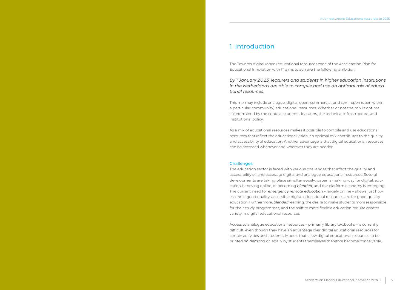### <span id="page-3-0"></span>1 Introduction

The Towards digital (open) educational resources zone of the Acceleration Plan for Educational Innovation with IT aims to achieve the following ambition:

*By 1 January 2023, lecturers and students in higher education institutions in the Netherlands are able to compile and use an optimal mix of educational resources.*

This mix may include analogue, digital, open, commercial, and semi-open (open within a particular community) educational resources. Whether or not the mix is optimal is determined by the context: students, lecturers, the technical infrastructure, and institutional policy.

As a mix of educational resources makes it possible to compile and use educational resources that reflect the educational vision, an optimal mix contributes to the quality and accessibility of education. Another advantage is that digital educational resources can be accessed whenever and wherever they are needed.

#### Challenges

The education sector is faced with various challenges that affect the quality and accessibility of, and access to digital and analogue educational resources. Several developments are taking place simultaneously: paper is making way for digital, education is moving online, or becoming *blended*, and the platform economy is emerging. The current need for *emergency remote education* – largely online – shows just how essential good quality, accessible digital educational resources are for good quality education. Furthermore, *blended* learning, the desire to make students more responsible for their study programmes, and the shift to more flexible education require greater variety in digital educational resources.

Access to analogue educational resources – primarily library textbooks – is currently difficult, even though they have an advantage over digital educational resources for certain activities and students. Models that allow digital educational resources to be printed *on demand* or legally by students themselves therefore become conceivable.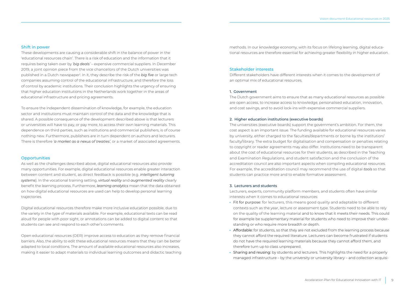#### <span id="page-4-0"></span>Shift in power

These developments are causing a considerable shift in the balance of power in the 'educational resources chain'. There is a risk of education and the information that it requires being taken over by *'big deals'* – expensive commercial suppliers. In December 2019, a joint opinion piece from the vice chancellors of the Dutch universities was published in a Dutch newspaper<sup>[1](#page-26-0)</sup>. In it, they describe the risk of the *big five* or large tech companies assuming control of the educational infrastructure, and therefore the loss of control by academic institutions. Their conclusion highlights the urgency of ensuring that higher education institutions in the Netherlands work together in the areas of educational infrastructure and pricing agreements.

To ensure the independent dissemination of knowledge, for example, the education sector and institutions must maintain control of the data and the knowledge that is shared. A possible consequence of the development described above is that lecturers or universities will have to pay, or pay more, to access their own learning materials. This dependence on third parties, such as institutions and commercial publishers, is of course nothing new. Furthermore, publishers are in turn dependent on authors and lecturers. There is therefore *'a market as a nexus of treaties'*, or a market of associated agreements.

#### **Opportunities**

As well as the challenges described above, digital educational resources also provide many opportunities. For example, digital educational resources enable greater interaction between content and student, as direct feedback is possible (e.g. *intelligent tutoring systems*). In the vocational training setting, *virtual reality* and *augmented reality* clearly benefit the learning process. Furthermore, *learning analytics* mean that the data obtained on how digital educational resources are used can help to develop personal learning trajectories.

Digital educational resources therefore make more inclusive education possible, due to the variety in the type of materials available. For example, educational texts can be read aloud for people with poor sight, or annotations can be added to digital content so that students can see and respond to each other's comments.

Open educational resources (OER) improve access to education as they remove financial barriers. Also, the ability to edit these educational resources means that they can be better adapted to local conditions. The amount of available educational resources also increases, making it easier to adapt materials to individual learning outcomes and didactic teaching methods. In our knowledge economy, with its focus on lifelong learning, digital educational resources are therefore essential for achieving greater flexibility in higher education.

#### Stakeholder interests

Different stakeholders have different interests when it comes to the development of an optimal mix of educational resources.

#### 1. Government

The Dutch government aims to ensure that as many educational resources as possible are open access, to increase access to knowledge, personalised education, innovation, and cost savings, and to avoid lock-ins with expensive commercial suppliers.

#### 2. Higher education institutions (executive boards)

The universities (executive boards) support the government's ambition. For them, the cost aspect is an important issue. The funding available for educational resources varies by university, either charged to the faculties/departments or borne by the institution/ faculty/library. The extra budget for digitalisation and compensation or penalties relating to copyright or reader agreements may also differ. Institutions need to be transparent about the cost of educational resources for their students, as described in the Teaching and Examination Regulations, and student satisfaction and the conclusion of the accreditation council are also important aspects when compiling educational resources. For example, the accreditation council may recommend the use of digital *tools* so that students can practice more and to enable formative assessment.

#### 3. Lecturers and students

Lecturers, experts, community platform members, and students often have similar interests when it comes to educational resources:

- · Fit for purpose: for lecturers, this means good quality and adaptable to different contexts such as the year, lecture or assessment type. Students need to be able to rely on the quality of the learning material and to know that it meets their needs. This could for example be supplementary material for students who need to improve their understanding or who require more breadth or depth.
- · Affordable: for students, so that they are not excluded from the learning process because they cannot afford the required literature. Lecturers can become frustrated if students do not have the required learning materials because they cannot afford them, and therefore turn up to class unprepared.
- · Sharing and reusing: by students and lecturers. This highlights the need for a properly managed infrastructure – by the university or university library – and collection acquisi-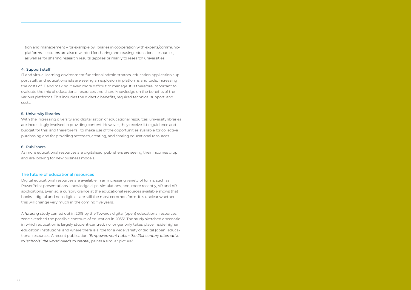<span id="page-5-0"></span>tion and management – for example by libraries in cooperation with experts/community platforms. Lecturers are also rewarded for sharing and reusing educational resources, as well as for sharing research results (applies primarily to research universities).

#### 4. Support staff

IT and virtual learning environment functional administrators, education application support staff, and educationalists are seeing an explosion in platforms and tools, increasing the costs of IT and making it even more difficult to manage. It is therefore important to evaluate the mix of educational resources and share knowledge on the benefits of the various platforms. This includes the didactic benefits, required technical support, and costs.

#### 5. University libraries

With the increasing diversity and digitalisation of educational resources, university libraries are increasingly involved in providing content. However, they receive little guidance and budget for this, and therefore fail to make use of the opportunities available for collective purchasing and for providing access to, creating, and sharing educational resources.

#### 6. Publishers

As more educational resources are digitalised, publishers are seeing their incomes drop and are looking for new business models.

#### The future of educational resources

Digital educational resources are available in an increasing variety of forms, such as PowerPoint presentations, knowledge clips, simulations, and, more recently, VR and AR applications. Even so, a cursory glance at the educational resources available shows that books – digital and non-digital – are still the most common form. It is unclear whether this will change very much in the coming five years.

A *futuring* study carried out in 2019 by the Towards digital (open) educational resources zone sketched the possible contours of education in 203[52.](#page-26-0) The study sketched a scenario in which education is largely student-centred, no longer only takes place inside higher education institutions, and where there is a role for a wide variety of digital (open) educational resources. A recent publication, '*Empowerment hubs – the 21st century alternative to "schools" the world needs to create*', paints a similar picture<sup>[3](#page-26-0)</sup>.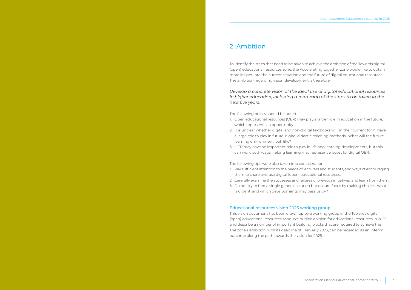### <span id="page-6-0"></span>2 Ambition

To identify the steps that need to be taken to achieve the ambition of the Towards digital (open) educational resources zone, the Accelerating together zone would like to obtain more insight into the current situation and the future of digital educational resources. The ambition regarding vision development is therefore:

*Develop a concrete vision of the ideal use of digital educational resources in higher education, including a road map of the steps to be taken in the next five years.*

The following points should be noted:

- 1. Open educational resources (OER) may play a larger role in education in the future, which represents an opportunity.
- 2. It is unclear whether digital and non-digital textbooks will, in their current form, have a large role to play in future 'digital didactic teaching methods'. What will the future learning environment look like?
- 3. OER may have an important role to play in lifelong learning developments, but this can work both ways: lifelong learning may represent a boost for digital OER.

The following tips were also taken into consideration:

- 1. Pay sufficient attention to the needs of lecturers and students, and ways of encouraging them to share and use digital (open) educational resources.
- 2. Carefully examine the successes and failures of previous initiatives, and learn from them.
- 3. Do not try to find a single general solution but ensure focus by making choices: what is urgent, and which developments may pass us by?

#### Educational resources vision 2025 working group

This vision document has been drawn up by a working group in the Towards digital (open) educational resources zone. We outline a vision for educational resources in 2025 and describe a number of important building blocks that are required to achieve this. The zone's ambition, with its deadline of 1 January 2023, can be regarded as an interim outcome along the path towards the vision for 2025.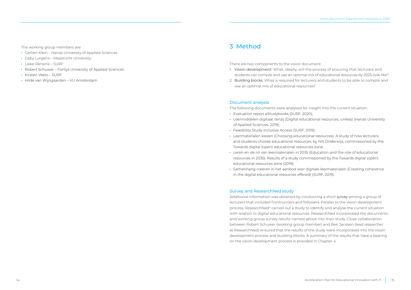<span id="page-7-0"></span>The working group members are:

- · Gerlien Klein Hanze University of Applied Sciences
- · Gaby Lutgens Maastricht University
- · Lieke Rensink SURF
- · Robert Schuwer Fontys University of Applied Sciences
- · Kirsten Veelo SURF
- · Hilde van Wijngaarden VU Amsterdam

### 3 Method

There are two components to the vision document:

- 1. Vision development: What, ideally, will the process of ensuring that lecturers and students can compile and use an optimal mix of educational resources by 2025 look like?
- 2. Building blocks: What is required for lecturers and students to be able to compile and use an optimal mix of educational resources?

#### Document analysis

The following documents were analysed for insight into the current situation:

- · Evaluation report eStudybooks (SURF, 2020);
- · Leermiddelen digitaal, tenzij (Digital educational resources, unless) (Hanze University of Applied Sciences, 2019);
- · Feasibility Study Inclusive Access (SURF, 2019);
- · Leermaterialen kiezen (Choosing educational resources). A study of how lecturers and students choose educational resources, by IVA Onderwijs, commissioned by the Towards digital (open) educational resources zone.
- · Leren en de rol van leermaterialen in 2035 (Education and the role of educational resources in 2035). Results of a study commissioned by the Towards digital (open) educational resources zone (2019);
- · Samenhang creëren in het aanbod voor digitale leermaterialen (Creating coherence in the digital educational resources offered) (SURF, 2019).

#### Survey and ResearchNed study

Additional information was obtained by conducting a short *survey* among a group of lecturers that included frontrunners and followers. Parallel to the vision development process, ResearchNe[d4](#page-26-0) carried out a study to identify and analyse the current situation with relation to digital educational resources. ResearchNed incorporated the documents and working group survey results named above into their study. Close collaboration between Robert Schuwer (working group member) and Ben Janssen (lead researcher at ResearchNed) ensured that the results of the study were incorporated into the vision development process and building blocks. A summary of the results that have a bearing on the vision development process is provided in Chapter 4.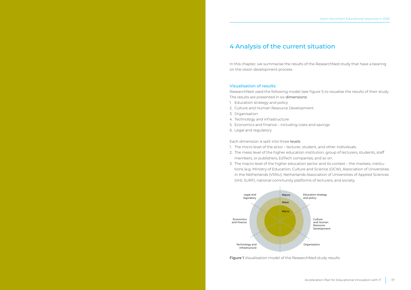### <span id="page-8-0"></span>4 Analysis of the current situation

In this chapter, we summarise the results of the ResearchNed study that have a bearing on the vision development process.

#### Visualisation of results

ResearchNed used the following model (see figure 1) to visualise the results of their study. The results are presented in six dimensions:

- 1. Education strategy and policy
- 2. Culture and Human Resource Development
- 3. Organisation
- 4. Technology and infrastructure
- 5. Economics and finance including costs and savings
- 6. Legal and regulatory

Each dimension is split into three levels:

- 1. The micro level of the actor lecturer, student, and other individuals.
- 2. The meso level of the higher education institution, group of lecturers, students, staff members, or publishers, EdTech companies, and so on.
- 3. The macro level of the higher education sector and its context the markets, institutions (e.g. Ministry of Education, Culture and Science (OCW), Association of Universities in the Netherlands (VSNU), Netherlands Association of Universities of Applied Sciences (VH), SURF), national community platforms of lecturers, and society.



Figure 1 Visualisation model of the ResearchNed study results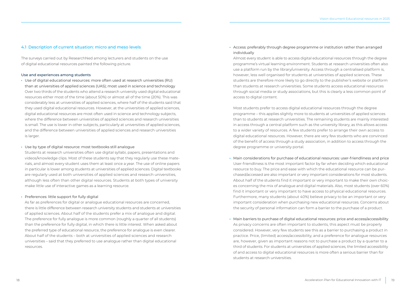#### 4.1 Description of current situation: micro and meso levels

The surveys carried out by ResearchNed among lecturers and students on the use of digital educational resources painted the following picture.

#### Use and experiences among students

· Use of digital educational resources: more often used at research universities (RU) than at universities of applied sciences (UAS); most used in science and technology Over two thirds of the students who attend a research university used digital educational resources either most of the time (about 50%) or almost all of the time (20%). This was considerably less at universities of applied sciences, where half of the students said that they used digital educational resources. However, at the universities of applied sciences, digital educational resources are most often used in science and technology subjects, where the difference between universities of applied sciences and research universities is small. The use is lower in other subjects, particularly at universities of applied sciences, and the difference between universities of applied sciences and research universities is larger.

#### · Use by type of digital resource: most textbooks still analogue

Students at research universities often use digital syllabi, papers, presentations and videos/knowledge clips. Most of these students say that they regularly use these materials, and almost every student uses them at least once a year. The use of online papers in particular is lower among students at universities of applied sciences. Digital textbooks are regularly used at both universities of applied sciences and research universities, although less often than other digital resources. Students at both types of university make little use of interactive games as a learning resource.

#### · Preferences: little support for fully digital

As far as preferences for digital or analogue educational resources are concerned, there is little difference between research university students and students at universities of applied sciences. About half of the students prefer a mix of analogue and digital. The preference for fully analogue is more common (roughly a quarter of all students) than the preference for fully digital, in which there is little interest. When asked about the preferred type of educational resource, the preference for analogue is even clearer. About half of the students – both at universities of applied sciences and research universities – said that they preferred to use analogue rather than digital educational resources.

#### · Access: preferably through degree programme or institution rather than arranged individually

Almost every student is able to access digital educational resources through the degree programme's virtual learning environment. Students at research universities often also use a platform run by the library/university. Access through a centralised platform is, however, less well organised for students at universities of applied sciences. These students are therefore more likely to go directly to the publisher's website or platform than students at research universities. Some students access educational resources through social media or study associations, but this is clearly a less common point of access to digital content.

Most students prefer to access digital educational resources through the degree programme – this applies slightly more to students at universities of applied sciences than to students at research universities. The remaining students are mainly interested in access through a central platform such as the university library, as this allows access to a wider variety of resources. A few students prefer to arrange their own access to digital educational resources. However, there are very few students who are convinced of the benefit of access through a study association, in addition to access through the degree programme or university portal.

- · Main considerations for purchase of educational resources: user-friendliness and price User-friendliness is the most important factor by far when deciding which educational resource to buy. The price and ease with which the educational resource can be purchased/accessed are also important or very important considerations for most students. About half of the students find it important or very important to make their own choices concerning the mix of analogue and digital materials. Also, most students (over 60%) find it important or very important to have access to physical educational resources. Furthermore, many students (about 40%) believe privacy to be an important or very important consideration when purchasing new educational resources. Concerns about the security of personal information can form a barrier to the purchase of a product.
- · Main barriers to purchase of digital educational resources: price and access/accessibility As privacy concerns are often important to students, this aspect must be properly considered. However, very few students see this as a barrier to purchasing a product in practice. Price, (limited) access/accessibility, and a preference for analogue resources are, however, given as important reasons not to purchase a product by a quarter to a third of students. For students at universities of applied sciences, the limited accessibility of and access to digital educational resources is more often a serious barrier than for students at research universities.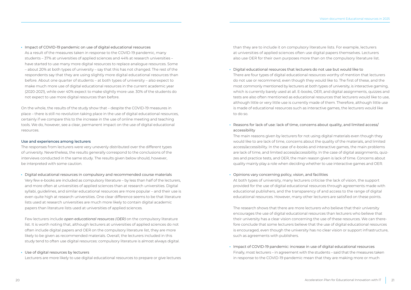· Impact of COVID-19 pandemic on use of digital educational resources

As a result of the measures taken in response to the COVID-19 pandemic, many students – 37% at universities of applied sciences and 44% at research universities – have started to use many more digital resources to replace analogue resources. Some – about 20% at both types of university – say that this has not changed. The rest of the respondents say that they are using slightly more digital educational resources than before. About one quarter of students – at both types of university – also expect to make much more use of digital educational resources in the current academic year (2020-2021), while over 40% expect to make slightly more use. 30% of the students do not expect to use more digital resources than before.

On the whole, the results of the study show that – despite the COVID-19 measures in place – there is still no revolution taking place in the use of digital educational resources, certainly if we compare this to the increase in the use of online meeting and teaching tools. We do, however, see a clear, permanent impact on the use of digital educational resources.

#### Use and experiences among lecturers

The responses from lecturers were very unevenly distributed over the different types of university. Nevertheless, the results generally correspond to the conclusions of the interviews conducted in the same study. The results given below should, however, be interpreted with some caution.

· Digital educational resources in compulsory and recommended course materials Very few e-books are included as compulsory literature – by less than half of the lecturers, and more often at universities of applied sciences than at research universities. Digital syllabi, guidelines, and similar educational resources are more popular – and their use is even quite high at research universities. One clear difference seems to be that literature lists used at research universities are much more likely to contain digital academic papers than literature lists used at universities of applied sciences.

Few lecturers include *open educational resources (OER)* on the compulsory literature list. It is worth noting that, although lecturers at universities of applied sciences do not often include digital papers and OER on the compulsory literature list, they are more likely to be given as recommended materials. Overall, the lecturers included in this study tend to often use digital resources: compulsory literature is almost always digital.

· Use of digital resources by lecturers

Lecturers are more likely to use digital educational resources to prepare or give lectures

than they are to include it on compulsory literature lists. For example, lecturers at universities of applied sciences often use digital papers themselves. Lecturers also use OER for their own purposes more than on the compulsory literature list.

- · Digital educational resources that lecturers do not use but would like to There are four types of digital educational resources worthy of mention that lecturers do not use or recommend, even though they would like to. The first of these, and the most commonly mentioned by lecturers at both types of university, is interactive gaming, which is currently barely used at all. E-books, OER, and digital assignments, quizzes and tests are also often mentioned as educational resources that lecturers would like to use, although little or very little use is currently made of them. Therefore, although little use is made of educational resources such as interactive games, the lecturers would like to do so.
- · Reasons for lack of use: lack of time, concerns about quality, and limited access/ accessibility

The main reasons given by lecturers for not using digital materials even though they would like to are lack of time, concerns about the quality of the materials, and limited access/accessibility. In the case of e-books and interactive games, the main problems are lack of time, and limited access/accessibility. In the case of digital assignments, quizzes and practice tests, and OER, the main reason given is lack of time. Concerns about quality mainly play a role when deciding whether to use interactive games and OER.

#### · Opinions vary concerning policy, vision, and facilities

At both types of university, many lecturers criticise the lack of vision, the support provided for the use of digital educational resources through agreements made with educational publishers, and the transparency of and access to the range of digital educational resources. However, many other lecturers are satisfied on these points.

The research shows that there are more lecturers who believe that their university encourages the use of digital educational resources than lecturers who believe that their university has a clear vision concerning the use of these resources. We can therefore conclude that some lecturers believe that the use of digital educational resources is encouraged, even though the university has no clear vision or support infrastructure, such as agreements with publishers.

· Impact of COVID-19 pandemic: increase in use of digital educational resources Finally, most lecturers – in agreement with the students – said that the measures taken in response to the COVID-19 pandemic mean that they are making more or much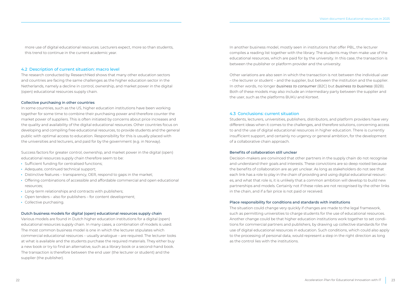more use of digital educational resources. Lecturers expect, more so than students, this trend to continue in the current academic year.

#### 4.2 Description of current situation: macro level

The research conducted by ResearchNed shows that many other education sectors and countries are facing the same challenges as the higher education sector in the Netherlands, namely a decline in control, ownership, and market power in the digital (open) educational resources supply chain.

#### Collective purchasing in other countries

In some countries, such as the US, higher education institutions have been working together for some time to combine their purchasing power and therefore counter the market power of suppliers. This is often initiated by concerns about price increases and the quality and availability of the digital educational resources. Other countries focus on developing and compiling free educational resources, to provide students and the general public with optimal access to education. Responsibility for this is usually placed with the universities and lecturers, and paid for by the government (e.g. in Norway).

Success factors for greater control, ownership, and market power in the digital (open) educational resources supply chain therefore seem to be:

- · Sufficient funding for centralised functions;
- · Adequate, continued technical support;
- · Distinctive features transparency, OER, respond to gaps in the market;
- · Offering combinations of accessible and affordable commercial and open educational resources;
- · Long-term relationships and contracts with publishers;
- · Open tenders also for publishers for content development;
- · Collective purchasing.

#### Dutch business models for digital (open) educational resources supply chain

Various models are found in Dutch higher education institutions for a digital (open) educational resources supply chain. In many cases, a combination of models is used. The most common business model is one in which the lecturer stipulates which commercial educational resources – usually analogue – are required. The lecturer looks at what is available and the students purchase the required materials. They either buy a new book or try to find an alternative, such as a library book or a second-hand book. The transaction is therefore between the end user (the lecturer or student) and the supplier (the publisher).

In another business model, mostly seen in institutions that offer PBL, the lecturer compiles a reading list together with the library. The students may then make use of the educational resources, which are paid for by the university. In this case, the transaction is between the publisher or platform provider and the university.

Other variations are also seen in which the transaction is not between the individual user – the lecturer or student – and the supplier, but between the institution and the supplier. In other words, no longer *business to consumer* (B2C) but *business to business* (B2B). Both of these models may also include an intermediary party between the supplier and the user, such as the platforms BUKU and Kortext.

#### 4.3 Conclusions: current situation

Students, lecturers, universities, publishers, distributors, and platform providers have very different ideas when it comes to the challenges, and therefore solutions, concerning access to and the use of digital educational resources in higher education. There is currently insufficient support, and certainly no urgency or general ambition, for the development of a collaborative chain approach.

#### Benefits of collaboration still unclear

Decision-makers are convinced that other partners in the supply chain do not recognise and understand their goals and interests. These convictions are so deep rooted because the benefits of collaboration are as yet unclear. As long as stakeholders do not see that each link has a role to play in the chain of providing and using digital educational resources, and what that role is, it is unlikely that a common ambition will develop to build new partnerships and models. Certainly not if these roles are not recognised by the other links in the chain, and if a fair price is not paid or received.

#### Place responsibility for conditions and standards with institutions

The situation could change very quickly if changes are made to the legal framework, such as permitting universities to charge students for the use of educational resources. Another change could be that higher education institutions work together to set conditions for commercial partners and publishers, by drawing up collective standards for the use of digital educational resources in education. Such conditions, which could also apply to the processing of personal data, would represent a step in the right direction as long as the control lies with the institutions.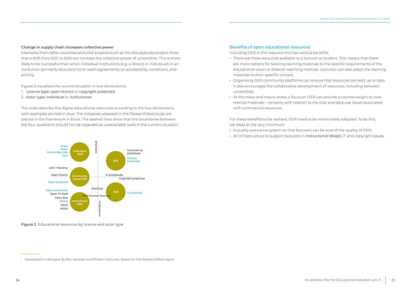#### Change in supply chain increases collective power

Examples from other countries and pilot projects such as the eStudybooks project show that a shift from B2C to B2B can increase the collective power of universities. This is more likely to be successful than when individual institutions (e.g. a library) or individuals in an institution (primarily lecturers) try to reach agreements on accessibility, conditions, and pricing.

Figure 2 visualises the current situation in two dimensions<sup>1</sup>: *:*

- 1. Licence type: *open licence* or *copyright protected*
- 2. Actor type: *individual* or *institutional*

The ovals describe the digital educational resources according to the two dimensions, with examples printed in blue. The initiatives assessed in the ResearchNed study are placed in the framework in black. The dashed lines show that the boundaries between the four quadrants should not be regarded as unassailable walls in the current situation.



Figure 2 Educational resources by licence and actor type

#### Benefits of open educational resources

Including OER in the resource mix has various benefits:

- · There are more resources available to a lecturer or student. This means that there are more options for tailoring learning materials to the specific requirements of the educational vision or didactic teaching method. Lecturers can also adapt the learning materials to their specific context.
- · Organising OER community platforms can ensure that resources are kept up to date. It also encourages the collaborative development of resources, including between universities.
- · At the meso and macro levels, a focus on OER can provide a counterweight to commercial materials – certainly with relation to the cost and data use issues associated with commercial resources.

For these benefits to be realised, OER need to be more widely adopted. To do this, we need at the very minimum:

- · A quality assurance system so that lecturers can be sure of the quality of OER;
- · An infrastructure to support lecturers in *instructional design,* IT and copyright issues.

<sup>&</sup>lt;sup>1</sup> Developed in dialogue by Ben Janssen and Robert Schuwer, based on the ResearchNed report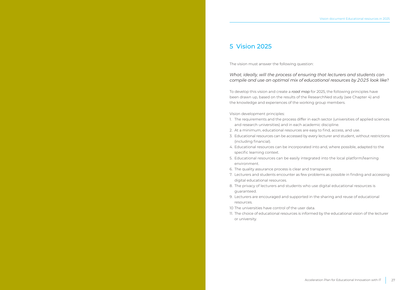### <span id="page-13-0"></span>5 Vision 2025

The vision must answer the following question:

*What, ideally, will the process of ensuring that lecturers and students can compile and use an optimal mix of educational resources by 2025 look like?*

To develop this vision and create a *road map* for 2025, the following principles have been drawn up, based on the results of the ResearchNed study (see Chapter 4) and the knowledge and experiences of the working group members.

Vision development principles:

- 1. The requirements and the process differ in each sector (universities of applied sciences and research universities) and in each academic discipline.
- 2. At a minimum, educational resources are easy to find, access, and use.
- 3. Educational resources can be accessed by every lecturer and student, without restrictions (including financial).
- 4. Educational resources can be incorporated into and, where possible, adapted to the specific learning context.
- 5. Educational resources can be easily integrated into the local platform/learning environment.
- 6. The quality assurance process is clear and transparent.
- 7. Lecturers and students encounter as few problems as possible in finding and accessing digital educational resources.
- 8. The privacy of lecturers and students who use digital educational resources is guaranteed.
- 9. Lecturers are encouraged and supported in the sharing and reuse of educational resources.
- 10 The universities have control of the user data.
- 11. The choice of educational resources is informed by the educational vision of the lecturer or university.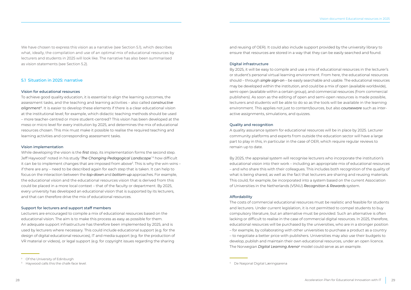<span id="page-14-0"></span>We have chosen to express this vision as a narrative (see Section 5.1), which describes what, ideally, the compilation and use of an optimal mix of educational resources by lecturers and students in 2025 will look like. The narrative has also been summarised as vision statements (see Section 5.2).

#### 5.1 Situation in 2025: narrative

#### Vision for educational resources

To achieve good quality education, it is essential to align the learning outcomes, the assessment tasks, and the teaching and learning activities – also called *constructive alignment[5](#page-26-0)*. It is easier to develop these elements if there is a clear educational vision at the institutional level; for example, which didactic teaching methods should be used – more teacher-centred or more student-centred? This vision has been developed at the meso or micro level for every institution by 2025, and determines the mix of educational resources chosen. This mix must make it possible to realise the required teaching and learning activities and corresponding assessment tasks.

#### Vision implementation

While developing the vision is the *first* step, its implementation forms the second step. Jeff Haywood<sup>2</sup> noted in his study '**The Changing Pedagogical Landscape'** <sup>6</sup> how difficult it can be to implement changes that are imposed from above3 . This is why the win-wins – if there are any – need to be described again for each step that is taken. It can help to focus on the interaction between the *top-down* and *bottom-up* approaches. For example, the educational vision and the educational resources vision that is derived from this could be placed in a more local context – that of the faculty or department. By 2025, every university has developed an educational vision that is supported by its lecturers, and that can therefore drive the mix of educational resources.

#### Support for lecturers and support staff members

Lecturers are encouraged to compile a mix of educational resources based on the educational vision. The aim is to make this process as easy as possible for them. An adequate support infrastructure has therefore been implemented by 2025, and is used by lecturers where necessary. This could include educational support (e.g. for the design of digital educational resources), IT and media support (e.g. for the production of VR material or videos), or legal support (e.g. for copyright issues regarding the sharing

and reusing of OER). It could also include support provided by the university library to ensure that resources are stored in a way that they can be easily searched and found.

#### Digital infrastructure

By 2025, it will be easy to compile and use a mix of educational resources in the lecturer's or student's personal virtual learning environment. From here, the educational resources should – through *single sign-on* – be easily searchable and usable. The educational resources may be developed within the institution, and could be a mix of open (available worldwide), semi-open (available within a certain group), and commercial resources (from commercial publishers). As soon as the editing of open and semi-open resources is made possible, lecturers and students will be able to do so as the tools will be available in the learning environment. This applies not just to content/sources, but also *courseware* such as interactive assignments, simulations, and quizzes.

#### Quality and recognition

A quality assurance system for educational resources will be in place by 2025. Lecturer community platforms and experts from outside the education sector will have a large part to play in this, in particular in the case of OER, which require regular reviews to remain up to date.

By 2025, the appraisal system will recognise lecturers who incorporate the institution's educational vision into their work – including an appropriate mix of educational resources – and who share this with their colleagues. This includes both recognition of the quality of what is being shared, as well as the fact that lecturers are sharing and reusing materials. This could, for example, be incorporated into a system based on the current Association of Universities in the Netherlands (VSNU) *Recognition & Rewards* system.

#### Affordability

The costs of commercial educational resources must be realistic and feasible for students and lecturers. Under current legislation, it is not permitted to compel students to buy compulsory literature, but an alternative must be provided. Such an alternative is often lacking or difficult to realise in the case of commercial digital resources. In 2025, therefore, educational resources will be purchased by the universities, who are in a stronger position – for example, by collaborating with other universities to purchase a product as a country – to negotiate a better price with publishers. Universities may also use their budgets to develop, publish and maintain their own educational resources, under an open licence. The Norwegian *Digital Learning Arena4* model could serve as an example.

<sup>&</sup>lt;sup>2</sup> Of the University of Edinburgh

<sup>&</sup>lt;sup>3</sup> Haywood calls this the chalk-face level.

<sup>4</sup> De Nasjonal Digital Læringsarena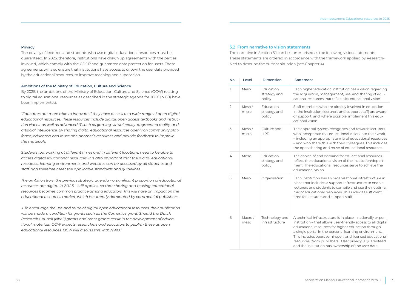#### <span id="page-15-0"></span>**Privacy**

The privacy of lecturers and students who use digital educational resources must be guaranteed. In 2025, therefore, institutions have drawn up agreements with the parties involved, which comply with the GDPR and guarantee data protection for users. These agreements will also ensure that institutions have access to or own the user data provided by the educational resources, to improve teaching and supervision.

#### Ambitions of the Ministry of Education, Culture and Science

By 2025, the ambitions of the Ministry of Education, Culture and Science (OCW) relating to digital educational resources as described in the strategic agenda for 2019[7](#page-26-0) (p. 68) have been implemented:

*"Educators are more able to innovate if they have access to a wide range of open digital educational resources. These resources include digital, open access textbooks and instruction videos, as well as advanced IT such as gaming, virtual reality, augmented reality, and artificial intelligence. By sharing digital educational resources openly on community platforms, educators can reuse one another's resources and provide feedback to improve the materials.*

*Students too, working at different times and in different locations, need to be able to access digital educational resources. It is also important that the digital educational resources, learning environments and websites can be accessed by all students and staff, and therefore meet the applicable standards and guidelines.*

*The ambition from the previous strategic agenda – a significant proportion of educational resources are digital in 2025 – still applies, so that sharing and reusing educational resources becomes common practice among educators. This will have an impact on the educational resources market, which is currently dominated by commercial publishers.*

*→ To encourage the use and reuse of digital open educational resources, their publication will be made a condition for grants such as the Comenius grant. Should the Dutch Research Council (NWO) grants and other grants result in the development of educational materials, OCW expects researchers and educators to publish these as open educational resources. OCW will discuss this with NWO."*

#### 5.2 From narrative to vision statements

The narrative in Section 5.1 can be summarised as the following vision statements. These statements are ordered in accordance with the framework applied by Research-Ned to describe the current situation (see Chapter 4).

| No.            | Level             | Dimension                           | <b>Statement</b>                                                                                                                                                                                                                                                                                                                                                                                                        |
|----------------|-------------------|-------------------------------------|-------------------------------------------------------------------------------------------------------------------------------------------------------------------------------------------------------------------------------------------------------------------------------------------------------------------------------------------------------------------------------------------------------------------------|
| 1              | Meso              | Education<br>strategy and<br>policy | Each higher education institution has a vision regarding<br>the acquisition, management, use, and sharing of edu-<br>cational resources that reflects its educational vision.                                                                                                                                                                                                                                           |
| $\overline{2}$ | Meso/<br>micro    | Education<br>strategy and<br>policy | Staff members who are directly involved in education<br>in the institution (lecturers and support staff) are aware<br>of, support, and, where possible, implement this edu-<br>cational vision.                                                                                                                                                                                                                         |
| 3              | Meso $/$<br>micro | Culture and<br><b>HRD</b>           | The appraisal system recognises and rewards lecturers<br>who incorporate this educational vision into their work<br>- including an appropriate mix of educational resources<br>- and who share this with their colleagues. This includes<br>the open sharing and reuse of educational resources.                                                                                                                        |
| 4              | Micro             | Education<br>strategy and<br>policy | The choice of and demand for educational resources<br>reflect the educational vision of the institution/depart-<br>ment. The educational resources serve to achieve the<br>educational vision.                                                                                                                                                                                                                          |
| 5              | Meso              | Organisation                        | Each institution has an organisational infrastructure in<br>place that includes a support infrastructure to enable<br>lecturers and students to compile and use their optimal<br>mix of educational resources. This includes sufficient<br>time for lecturers and support staff.                                                                                                                                        |
| 6              | Macro/<br>meso    | Technology and<br>infrastructure    | A technical infrastructure is in place - nationally or per<br>institution - that allows user-friendly access to all digital<br>educational resources for higher education through<br>a single portal in the personal learning environment.<br>This includes open, semi-open, and licensed educational<br>resources (from publishers). User privacy is guaranteed<br>and the institution has ownership of the user data. |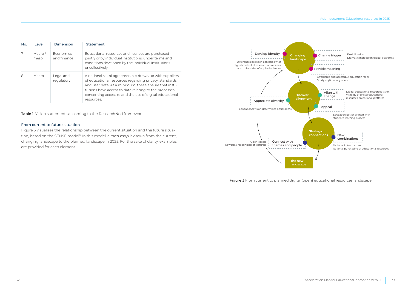<span id="page-16-0"></span>

| No. | <b>Level</b>      | Dimension                | Statement                                                                                                                                                                                                                                                                                                    |
|-----|-------------------|--------------------------|--------------------------------------------------------------------------------------------------------------------------------------------------------------------------------------------------------------------------------------------------------------------------------------------------------------|
|     | Macro $/$<br>meso | Economics<br>and finance | Educational resources and licences are purchased<br>jointly or by individual institutions, under terms and<br>conditions developed by the individual institutions<br>or collectively.                                                                                                                        |
| 8   | Macro             | Legal and<br>requlatory  | A national set of agreements is drawn up with suppliers<br>of educational resources regarding privacy, standards,<br>and user data. At a minimum, these ensure that insti-<br>tutions have access to data relating to the processes<br>concerning access to and the use of digital educational<br>resources. |

Table 1 Vision statements according to the ResearchNed framework

#### From current to future situation

Figure 3 visualises the relationship between the current situation and the future situation, based on the SENSE model<sup>8</sup>. In this model, a *road map* is drawn from the current, changing landscape to the planned landscape in 2025. For the sake of clarity, examples are provided for each element.



Figure 3 From current to planned digital (open) educational resources landscape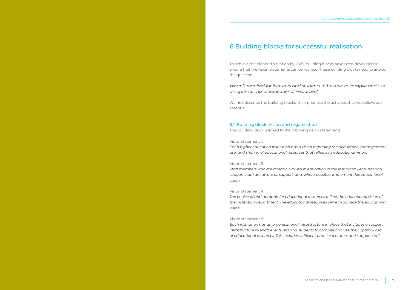### <span id="page-17-0"></span>6 Building blocks for successful realisation

To achieve the planned situation by 2025, building blocks have been developed to ensure that the vision statements can be realised. These building blocks need to answer the question:

*What is required for lecturers and students to be able to compile and use an optimal mix of educational resources?*

We first describe the building blocks, then prioritise the activities that we believe are essential.

#### 6.1 Building block: Vision and organisation

This building block is linked to the following vision statements:

#### Vision statement 1:

*Each higher education institution has a vision regarding the acquisition, management, use, and sharing of educational resources that reflects its educational vision.*

#### Vision statement 2:

*Staff members who are directly involved in education in the institution (lecturers and support staff) are aware of, support, and, where possible, implement this educational vision.*

#### Vision statement 4:

The choice of and demand for educational resources reflect the educational vision of *the institution/department. The educational resources serve to achieve the educational vision.*

#### Vision statement 5:

*Each institution has an organisational infrastructure in place that includes a support infrastructure to enable lecturers and students to compile and use their optimal mix of educational resources. This includes sufficient time for lecturers and support staff.*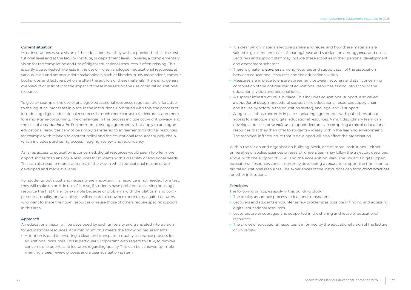#### Current situation

Most institutions have a vision of the education that they wish to provide, both at the institutional level and at the faculty, institute, or department level. However, a complementary vision for the compilation and use of digital educational resources is often missing. This is partly due to vested interests in the use of – often analogue – educational resources, at various levels and among various stakeholders, such as libraries, study associations, campus bookshops, and lecturers, who are often the authors of these materials. There is no general overview of or insight into the impact of these interests on the use of digital educational resources.

To give an example, the use of analogue educational resources requires little effort, due to the logistical processes in place in the institutions. Compared with this, the process of introducing digital educational resources is much more complex for lecturers, and therefore more time-consuming. The challenges in this process include copyright, privacy, and the risk of a *vendor lock-in*. Furthermore, existing agreements that apply to analogue educational resources cannot be simply transferred to agreements for digital resources, for example with relation to content policy and the educational resources supply chain, which includes purchasing, access, flagging, review, and redundancy.

As far as access to education is concerned, digital resources would seem to offer more opportunities than analogue resources for students with a disability or additional needs. This can also lead to more awareness of the way in which educational resources are developed and made available.

For students, both cost and necessity are important: if a resource is not needed for a test, they will make no or little use of it. Also, if students have problems accessing or using a resource the first time, for example because of problems with the platform and completeness, quality, or availability, it will be hard to convince them to try again. Lecturers who want to share their own resources or reuse those of others require specific support in this area.

#### Approach

An educational vision will be developed by each university and translated into a vision for educational resources. At a minimum, this meets the following requirements:

· Attention is paid to ensuring a clear and transparent quality assurance process for educational resources. This is particularly important with regard to OER, to remove concerns of students and lecturers regarding quality. This can be achieved by implementing a *peer* review process and a user evaluation system.

- · It is clear which materials lecturers share and reuse, and how these materials are valued (e.g. extent and scale of sharing/reuse and satisfaction among *peers* and users). Lecturers and support staff may include these activities in their personal development and assessment schemes.
- · There is greater *awareness* among lecturers and support staff of the association between educational resources and the educational vision.
- · Measures are in place to ensure agreement between lecturers and staff concerning compilation of the optimal mix of educational resources, taking into account the educational vision and personal ideas.
- · A support infrastructure is in place. This includes educational support, also called *instructional design*, procedural support (the educational resources supply chain and its use by actors in the education sector), and legal and IT support.
- · A logistical infrastructure is in place, including agreements with publishers about access to analogue and digital educational resources. A multidisciplinary team can develop a process, or *workflow*, to support lecturers in compiling a mix of educational resources that they then offer to students – ideally within the learning environment. The technical infrastructure that is developed will also affect the organisation.

Within the Vision and organisation building block, one or more institutions – either universities of applied sciences or research universities – may follow the trajectory described above, with the support of SURF and the Acceleration Plan. The Towards digital (open) educational resources zone is currently developing a *toolkit* to support the transition to digital educational resources. The experiences of the institutions can form *good practices* for other institutions.

#### Principles

The following principles apply in this building block:

- · The quality assurance process is clear and transparent.
- · Lecturers and students encounter as few problems as possible in finding and accessing digital educational resources.
- · Lecturers are encouraged and supported in the sharing and reuse of educational resources.
- · The choice of educational resources is informed by the educational vision of the lecturer or university.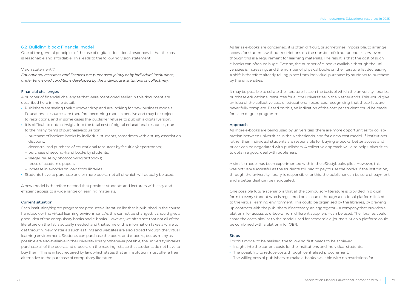#### 6.2 Building block: Financial model

One of the general principles of the use of digital educational resources is that the cost is reasonable and affordable. This leads to the following vision statement:

#### Vision statement 7:

*Educational resources and licences are purchased jointly or by individual institutions, under terms and conditions developed by the individual institutions or collectively.*

#### Financial challenges

A number of financial challenges that were mentioned earlier in this document are described here in more detail:

- · Publishers are seeing their turnover drop and are looking for new business models. Educational resources are therefore becoming more expensive and may be subject to restrictions, and in some cases the publisher refuses to publish a digital version.
- · It is difficult to obtain insight into the total cost of digital educational resources, due to the many forms of purchase/acquisition:
- purchase of books/e-books by individual students, sometimes with a study association discount;
- decentralised purchase of educational resources by faculties/departments;
- purchase of second-hand books by students;
- 'illegal' reuse by photocopying textbooks;
- reuse of academic papers;
- increase in e-books on loan from libraries.
- · Students have to purchase one or more books, not all of which will actually be used.

A new model is therefore needed that provides students and lecturers with easy and efficient access to a wide range of learning materials.

#### Current situation

Each institution/degree programme produces a literature list that is published in the course handbook or the virtual learning environment. As this cannot be changed, it should give a good idea of the compulsory books and e-books. However, we often see that not all of the literature on the list is actually needed, and that some of this information takes a while to get through. New materials such as films and websites are also added through the virtual learning environment. Students can purchase the books and e-books, but as many as possible are also available in the university library. Whenever possible, the university libraries purchase all of the books and e-books on the reading lists, so that students do not have to buy them. This is in fact required by law, which states that an institution must offer a free alternative to the purchase of compulsory literature.

As far as e-books are concerned, it is often difficult, or sometimes impossible, to arrange access for students without restrictions on the number of simultaneous users, even though this is a requirement for learning materials. The result is that the cost of such e-books can often be huge. Even so, the number of e-books available through the universities is increasing, and the number of physical books on the literature list decreasing. A shift is therefore already taking place from individual purchase by students to purchase by the universities.

It may be possible to collate the literature lists on the basis of which the university libraries purchase educational resources for all the universities in the Netherlands. This would give an idea of the collective cost of educational resources, recognising that these lists are never fully complete. Based on this, an indication of the cost per student could be made for each degree programme.

#### Approach

As more e-books are being used by universities, there are more opportunities for collaboration between universities in the Netherlands, and for a new cost model. If institutions rather than individual students are responsible for buying e-books, better access and prices can be negotiated with publishers. A collective approach will also help universities to obtain a good deal with publishers.

A similar model has been experimented with in the eStudybooks pilot. However, this was not very successful as the students still had to pay to use the books. If the institution, through the university library, is responsible for this, the publisher can be sure of payment and a better deal can be negotiated.

One possible future scenario is that all the compulsory literature is provided in digital form to every student who is registered on a course through a national platform linked to the virtual learning environment. This could be organised by the libraries, by drawing up contracts with the publishers. If necessary, an aggregator – a company that provides a platform for access to e-books from different suppliers – can be used. The libraries could share the costs, similar to the model used for academic e-journals. Such a platform could be combined with a platform for OER.

#### Steps

For this model to be realised, the following first needs to be achieved:

- · Insight into the current costs for the institutions and individual students.
- · The possibility to reduce costs through centralised procurement.
- · The willingness of publishers to make e-books available with no restrictions for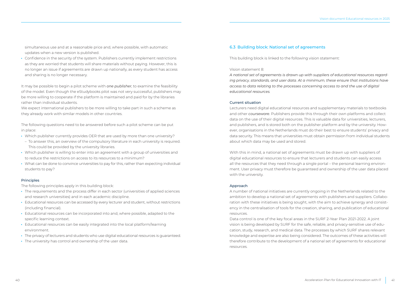simultaneous use and at a reasonable price and, where possible, with automatic updates when a new version is published.

· Confidence in the security of the system. Publishers currently implement restrictions as they are worried that students will share materials without paying. However, this is no longer an issue if agreements are drawn up nationally, as every student has access and sharing is no longer necessary.

It may be possible to begin a pilot scheme with *one publisher*, to examine the feasibility of the model. Even though the eStudybooks pilot was not very successful, publishers may be more willing to cooperate if the platform is maintained and paid for by the libraries rather than individual students.

We expect international publishers to be more willing to take part in such a scheme as they already work with similar models in other countries.

The following questions need to be answered before such a pilot scheme can be put in place:

- · Which publisher currently provides OER that are used by more than one university?
- To answer this, an overview of the compulsory literature in each university is required. This could be provided by the university libraries.
- · Which publisher is willing to enter into an agreement with a group of universities and to reduce the restrictions on access to its resources to a minimum?
- · What can be done to convince universities to pay for this, rather than expecting individual students to pay?

#### Principles

The following principles apply in this building block:

- · The requirements and the process differ in each sector (universities of applied sciences and research universities) and in each academic discipline.
- · Educational resources can be accessed by every lecturer and student, without restrictions (including financial).
- · Educational resources can be incorporated into and, where possible, adapted to the specific learning context.
- · Educational resources can be easily integrated into the local platform/learning environment.
- · The privacy of lecturers and students who use digital educational resources is guaranteed.
- · The university has control and ownership of the user data.

#### 6.3 Building block: National set of agreements

This building block is linked to the following vision statement:

#### Vision statement 8:

*A national set of agreements is drawn up with suppliers of educational resources regarding privacy, standards, and user data. At a minimum, these ensure that institutions have access to data relating to the processes concerning access to and the use of digital educational resources.*

#### Current situation

Lecturers need digital educational resources and supplementary materials to textbooks and other *courseware*. Publishers provide this through their own platforms and collect data on the use of their digital resources. This is valuable data for universities, lecturers, and publishers, and is stored both on the publisher platform and by the university. However, organisations in the Netherlands must do their best to ensure students' privacy and data security. This means that universities must obtain permission from individual students about which data may be used and stored.

With this in mind, a national set of agreements must be drawn up with suppliers of digital educational resources to ensure that lecturers and students can easily access all the resources that they need through a single portal – the personal learning environment. User privacy must therefore be guaranteed and ownership of the user data placed with the university.

#### Approach

A number of national initiatives are currently ongoing in the Netherlands related to the ambition to develop a national set of agreements with publishers and suppliers. Collaboration with these initiatives is being sought, with the aim to achieve synergy and consistency in the centralisation of tools for the creation, sharing, and publication of educational resources.

Data control is one of the key focal areas in the SURF 2-Year Plan 2021-2022. A joint vision is being developed by SURF for the safe, reliable, and privacy-sensitive use of education, study, research, and medical data. The processes by which SURF shares relevant knowledge and expertise are also being considered. The outcomes of these activities will therefore contribute to the development of a national set of agreements for educational resources.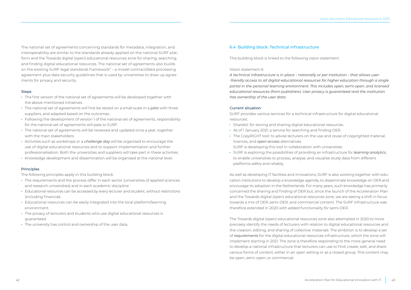<span id="page-21-0"></span>The national set of agreements concerning standards for metadata, integration, and interoperability are similar to the standards already applied on the national SURF platform and the Towards digital (open) educational resources zone for sharing, searching, and finding digital educational resources. The national set of agreements also builds on the existing SURF legal standards framework $9 - a$  $9 - a$  model contract/data processing agreement plus data security guidelines that is used by universities to draw up agreements for privacy and security.

#### **Steps**

- · The first version of the national set of agreements will be developed together with the above-mentioned initiatives.
- · The national set of agreements will first be tested on a small scale in a *pilot* with three suppliers, and adapted based on the outcomes.
- · Following the development of version 1 of the national set of agreements, responsibility for the national set of agreements will pass to SURF.
- · The national set of agreements will be reviewed and updated once a year, together with the main stakeholders.
- · Activities such as workshops or a *challenge day* will be organised to encourage the use of digital educational resources and to support implementation and further professionalisation. Both the universities and suppliers will take part in these activities.
- · Knowledge development and dissemination will be organised at the national level.

#### **Principles**

The following principles apply in this building block:

- · The requirements and the process differ in each sector (universities of applied sciences and research universities) and in each academic discipline.
- · Educational resources can be accessed by every lecturer and student, without restrictions (including financial).
- · Educational resources can be easily integrated into the local platform/learning environment.
- · The privacy of lecturers and students who use digital educational resources is guaranteed.
- · The university has control and ownership of the user data.

#### 6.4 Building block: Technical infrastructure

This building block is linked to the following vision statement:

#### Vision statement 6:

*A technical infrastructure is in place – nationally or per institution – that allows user- -friendly access to all digital educational resources for higher education through a single portal in the personal learning environment. This includes open, semi-open, and licensed educational resources (from publishers). User privacy is guaranteed and the institution has ownership of the user data.*

#### Current situation

SURF provides various services for a technical infrastructure for digital educational resources:

- · Sharekit: for storing and sharing digital educational resources.
- · As of 1 January 2021, a service for searching and finding OER.
- · The CopyRIGHT tool: to advise lecturers on the use and reuse of copyrighted material, licences, and *open access* alternatives.
- SURF is developing this tool in collaboration with universities.
- · SURF is exploring the possibilities of providing an infrastructure for *learning analytics*, to enable universities to process, analyse, and visualise study data from different platforms safely and reliably.

As well as developing IT facilities and innovations, SURF is also working together with education institutions to develop a knowledge agenda, to disseminate knowledge on OER and encourage its adoption in the Netherlands. For many years, such knowledge has primarily concerned the sharing and finding of OER but, since the launch of the Acceleration Plan and the Towards digital (open) educational resources zone, we are seeing a shift in focus towards a mix of OER, semi-OER, and commercial content. The SURF infrastructure was therefore extended in 2020 with added functionality for semi-OER.

The Towards digital (open) educational resources zone also attempted in 2020 to more precisely identify the needs of lecturers with relation to digital educational resources and the creation, editing, and sharing of collective materials. The ambition is to develop a set of *requirements* for the digital educational resources infrastructure, which the zone will implement starting in 2021. The zone is therefore responding to the more general need to develop a national infrastructure that lecturers can use to find, create, edit, and share various forms of content, either in an open setting or as a closed group. This content may be open, semi-open, or commercial.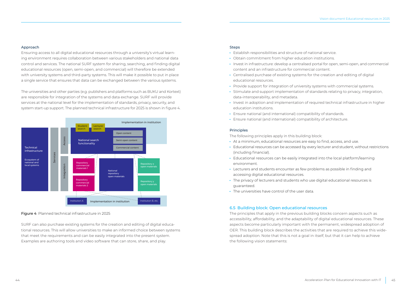#### Approach

Ensuring access to all digital educational resources through a university's virtual learning environment requires collaboration between various stakeholders and national data control and services. The national SURF system for sharing, searching, and finding digital educational resources (open, semi-open, and commercial) will therefore be extended with university systems and third-party systems. This will make it possible to put in place a single service that ensures that data can be exchanged between the various systems.

The universities and other parties (e.g. publishers and platforms such as BUKU and Kortext) are responsible for integration of the systems and data exchange. SURF will provide services at the national level for the implementation of standards, privacy, security, and system start-up support. The planned technical infrastructure for 2025 is shown in figure 4.



#### Figure 4 Planned technical infrastructure in 2025

SURF can also purchase existing systems for the creation and editing of digital educational resources. This will allow universities to make an informed choice between systems that meet the requirements and can be easily integrated into the present system. Examples are authoring tools and video software that can store, share, and play.

#### **Steps**

- · Establish responsibilities and structure of national service.
- · Obtain commitment from higher education institutions.
- · Invest in infrastructure: develop a centralised portal for open, semi-open, and commercial content and an infrastructure for commercial content.
- · Centralised purchase of existing systems for the creation and editing of digital educational resources.
- · Provide support for integration of university systems with commercial systems.
- · Stimulate and support implementation of standards relating to privacy, integration, data-interoperability, and metadata.
- · Invest in adoption and implementation of required technical infrastructure in higher education institutions.
- · Ensure national (and international) compatibility of standards.
- · Ensure national (and international) compatibility of architecture.

#### Principles

The following principles apply in this building block:

- · At a minimum, educational resources are easy to find, access, and use.
- · Educational resources can be accessed by every lecturer and student, without restrictions (including financial).
- · Educational resources can be easily integrated into the local platform/learning environment.
- · Lecturers and students encounter as few problems as possible in finding and accessing digital educational resources.
- · The privacy of lecturers and students who use digital educational resources is guaranteed.
- · The universities have control of the user data.

#### 6.5 Building block: Open educational resources

The principles that apply in the previous building blocks concern aspects such as accessibility, affordability, and the adaptability of digital educational resources. These aspects become particularly important with the permanent, widespread adoption of OER. This building block describes the activities that are required to achieve this widespread adoption. Note that this is not a goal in itself, but that it can help to achieve the following vision statements: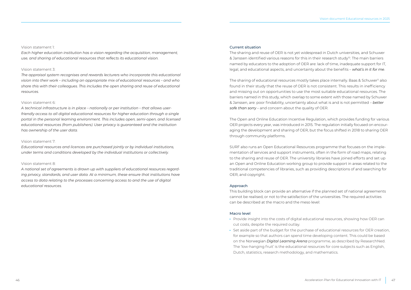#### <span id="page-23-0"></span>Vision statement 1:

*Each higher education institution has a vision regarding the acquisition, management, use, and sharing of educational resources that reflects its educational vision.*

#### Vision statement 3:

*The appraisal system recognises and rewards lecturers who incorporate this educational vision into their work – including an appropriate mix of educational resources – and who share this with their colleagues. This includes the open sharing and reuse of educational resources.*

#### Vision statement 6:

*A technical infrastructure is in place – nationally or per institution – that allows userfriendly access to all digital educational resources for higher education through a single portal in the personal learning environment. This includes open, semi-open, and licensed educational resources (from publishers). User privacy is guaranteed and the institution has ownership of the user data.*

#### Vision statement 7:

*Educational resources and licences are purchased jointly or by individual institutions, under terms and conditions developed by the individual institutions or collectively.*

#### Vision statement 8:

*A national set of agreements is drawn up with suppliers of educational resources regarding privacy, standards, and user data. At a minimum, these ensure that institutions have access to data relating to the processes concerning access to and the use of digital educational resources.*

#### Current situation

The sharing and reuse of OER is not yet widespread in Dutch universities, and Schuwer & Janssen identified various reasons for this in their research study<sup>10</sup>. The main barriers named by educators to the adoption of OER are: lack of time, inadequate support for IT, legal, and educational aspects, and uncertainty about the benefits – *what's in it for me*.

The sharing of educational resources mostly takes place internally. Baas & Schuwer<sup>11</sup> also found in their study that the reuse of OER is not consistent. This results in inefficiency and missing out on opportunities to use the most suitable educational resources. The barriers named in this study, which overlap to some extent with those named by Schuwer & Janssen, are: poor findability, uncertainty about what is and is not permitted – *better safe than sorry* – and concern about the quality of OER.

The Open and Online Education Incentive Regulation, which provides funding for various OER projects every year, was introduced in 2015. The regulation initially focused on encouraging the development and sharing of OER, but the focus shifted in 2018 to sharing OER through community platforms.

SURF also runs an Open Educational Resources programme that focuses on the implementation of services and support instruments, often in the form of road maps, relating to the sharing and reuse of OER. The university libraries have joined efforts and set up an Open and Online Education working group to provide support in areas related to the traditional competencies of libraries, such as providing descriptions of and searching for OER, and copyright.

#### Approach

This building block can provide an alternative if the planned set of national agreements cannot be realised, or not to the satisfaction of the universities. The required activities can be described at the macro and the meso level:

#### Macro level

- · Provide insight into the costs of digital educational resources, showing how OER can cut costs, despite the required outlay.
- · Set aside part of the budget for the purchase of educational resources for OER creation, for example so that authors can spend time developing content. This could be based on the Norwegian *Digital Learning Arena* programme, as described by ResearchNed. The 'low-hanging fruit' is the educational resources for core subjects such as English, Dutch, statistics, research methodology, and mathematics.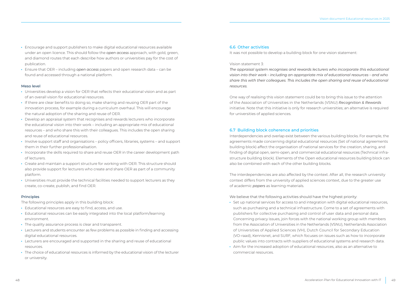- · Encourage and support publishers to make digital educational resources available under an open licence. This should follow the *open access* approach, with gold, green, and diamond routes that each describe how authors or universities pay for the cost of publication.
- · Ensure that OER including *open access* papers and open research data can be found and accessed through a national platform.

#### Meso level

- · Universities develop a vision for OER that reflects their educational vision and as part of an overall vision for educational resources.
- · If there are clear benefits to doing so, make sharing and reusing OER part of the innovation process, for example during a curriculum overhaul. This will encourage the natural adoption of the sharing and reuse of OER.
- · Develop an appraisal system that recognises and rewards lecturers who incorporate the educational vision into their work – including an appropriate mix of educational resources – and who share this with their colleagues. This includes the open sharing and reuse of educational resources.
- · Involve support staff and organisations policy officers, libraries, systems and support them in their further professionalisation.
- · Incorporate the skills required to share and reuse OER in the career development path of lecturers.
- · Create and maintain a support structure for working with OER. This structure should also provide support for lecturers who create and share OER as part of a community platform.
- · Universities must provide the technical facilities needed to support lecturers as they create, co-create, publish, and find OER.

#### **Principles**

The following principles apply in this building block:

- · Educational resources are easy to find, access, and use.
- · Educational resources can be easily integrated into the local platform/learning environment.
- · The quality assurance process is clear and transparent.
- · Lecturers and students encounter as few problems as possible in finding and accessing digital educational resources.
- · Lecturers are encouraged and supported in the sharing and reuse of educational resources.
- · The choice of educational resources is informed by the educational vision of the lecturer or university.

#### 6.6 Other activities

It was not possible to develop a building block for one vision statement:

#### Vision statement 3:

*The appraisal system recognises and rewards lecturers who incorporate this educational vision into their work – including an appropriate mix of educational resources – and who share this with their colleagues. This includes the open sharing and reuse of educational resources.*

One way of realising this vision statement could be to bring this issue to the attention of the Association of Universities in the Netherlands (VSNU) *Recognition & Rewards* initiative. Note that this initiative is only for research universities; an alternative is required for universities of applied sciences.

#### 6.7 Building block coherence and priorities

Interdependencies and overlap exist between the various building blocks. For example, the agreements made concerning digital educational resources (Set of national agreements building block) affect the organisation of national services for the creation, sharing, and finding of digital open, semi-open, and commercial educational resources (Technical infrastructure building block). Elements of the Open educational resources building block can also be combined with each of the other building blocks.

The interdependencies are also affected by the context. After all, the research university context differs from the university of applied sciences context, due to the greater use of academic *papers* as learning materials.

We believe that the following activities should have the highest priority:

- · Set up national services for access to and integration with digital educational resources, such as purchasing and a technical infrastructure. Come to a set of agreements with publishers for collective purchasing and control of user data and personal data. Concerning privacy issues, join forces with the national working group with members from the Association of Universities in the Netherlands (VSNU), Netherlands Association of Universities of Applied Sciences (VH), Dutch Council for Secondary Education (VO-raad), Kennisnet, and SURF, which focuses on issues such as how to incorporate public values into contracts with suppliers of educational systems and research data.
- · Aim for the increased adoption of educational resources, also as an alternative to commercial resources.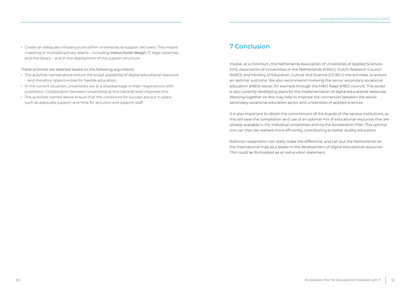<span id="page-25-0"></span>· Create an adequate infrastructure within universities to support lecturers. This means investing in multidisciplinary teams – including *instructional design*, IT, legal expertise, and the library – and in the deployment of the support structure.

These activities are selected based on the following arguments:

- · The activities named above ensure the broad availability of digital educational resources – and therefore opportunities for flexible education.
- · In the current situation, universities are at a disadvantage in their negotiations with publishers. Collaboration between universities at the national level improves this.
- · The activities named above ensure that the conditions for success are put in place, such as adequate support and time for lecturers and support staff.

### 7 Conclusion

Involve, at a minimum, the Netherlands Association of Universities of Applied Sciences (VH), Association of Universities in the Netherlands (VSNU), Dutch Research Council (NWO), and Ministry of Education, Culture and Science (OCW) in the activities, to ensure an optimal outcome. We also recommend involving the senior secondary vocational education (MBO) sector, for example through the MBO Raad (MBO council). This sector is also currently developing plans for the implementation of digital educational resources. Working together on this may help to improve the connection between the senior secondary vocational education sector and universities of applied sciences.

It is also important to obtain the commitment of the boards of the various institutions, as this will ease the compilation and use of an optimal mix of educational resources that are already available in the individual universities and via the Acceleration Plan. This optimal mix can then be realised more efficiently, contributing to better quality education.

National cooperation can really make the difference, and can put the Netherlands on the international map as a leader in the development of digital educational resources. This could be formulated as an extra vision statement.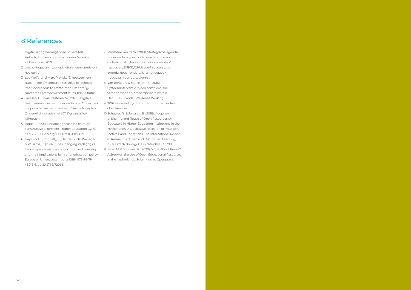### <span id="page-26-0"></span>8 References

- [1](#page-4-0) Digitalisering bedreigt onze universiteit. Het is tijd om een grens te trekken. Volkskrant 22 December 2019
- [2](#page-5-0) [versnellingsplan.nl/zones/digitale-leermaterialen/](https://versnellingsplan.nl/zones/digitale-leermaterialen/hoeleerjij/) [hoeleerjij/](https://versnellingsplan.nl/zones/digitale-leermaterialen/hoeleerjij/)
- [3](#page-5-0) Leo Wölfel and Marc Prensky 'Empowerment hubs - the 21st century alternative to "schools" the world needs to create' [medium.com/@](https://medium.com/%40marcprensky/empowerment-hubs-b845391bfb4) [marcprensky/empowerment-hubs-b845391bfb4](https://medium.com/%40marcprensky/empowerment-hubs-b845391bfb4)
- [4](#page-7-0) Janssen, B. & Van Casteren, W (2020): Digitale leermaterialen in het hoger onderwijs. Onderzoek in opdracht van het Koersteam Versnellingsplan Onderwijsinnovatie met ICT, ResearchNed Nijmegen
- [5](#page-14-0) Biggs, J. (1996). Enhancing teaching through constructive alignment. Higher Education, 32(3), 347-364. DOI [doi.org/10.1007/BF00138871](https://doi.org/10.1007/BF00138871)
- [6](#page-14-0) Haywood, J., Connelly, L., Henderikx, P., Weller, M. & Williams, K. (2014). "The Changing Pedagogical Landscape"– New ways of teaching and learning and their implications for higher education policy. European Union, Luxemburg. ISBN 978-92-79- 48913-6. doi:10.2766/72063
- [7](#page-15-0) Ministerie van OCW (2019). Strategische agenda hoger onderwijs en onderzoek Houdbaar voor de toekomst. [rijksoverheid.nl/documenten/](https://www.rijksoverheid.nl/documenten/rapporten/2019/12/02/bijlage-1-strategische-agenda-hoger-onderwijs-en-onderzoek-houdbaar-voor-de-toekomst) [rapporten/2019/12/02/bijlage-1-strategische](https://www.rijksoverheid.nl/documenten/rapporten/2019/12/02/bijlage-1-strategische-agenda-hoger-onderwijs-en-onderzoek-houdbaar-voor-de-toekomst)[agenda-hoger-onderwijs-en-onderzoek](https://www.rijksoverheid.nl/documenten/rapporten/2019/12/02/bijlage-1-strategische-agenda-hoger-onderwijs-en-onderzoek-houdbaar-voor-de-toekomst)[houdbaar-voor-de-toekomst](https://www.rijksoverheid.nl/documenten/rapporten/2019/12/02/bijlage-1-strategische-agenda-hoger-onderwijs-en-onderzoek-houdbaar-voor-de-toekomst)
- [8](#page-16-0) Van Berkel, K. & Manickam, A. (2016). Systeeminterventie in een complexe, snel veranderende en onvoorspelbare wereld - Het SENSE-model. We-sense Working
- [9](#page-21-0) 2016: [www.surf.nl/surf-juridisch-normenkader](https://www.surf.nl/surf-juridisch-normenkader-cloudservices)[cloudservices](https://www.surf.nl/surf-juridisch-normenkader-cloudservices)
- [10](#page-23-0) Schuwer, R., & Janssen, B. (2018). Adoption of Sharing and Reuse of Open Resources by Educators in Higher Education Institutions in the Netherlands: A Qualitative Research of Practices, Motives, and Conditions. The International Review of Research in Open and Distributed Learning, 19(3). DOI [dx.doi.org/10.19173/irrodl.v19i3.3390](http://dx.doi.org/10.19173/irrodl.v19i3.3390)
- 11 Baas, M. & Schuwer, R. (2020). What About Reuse? A Study on the Use of Open Educational Resources in the Netherlands. Submitted to Openpraxis